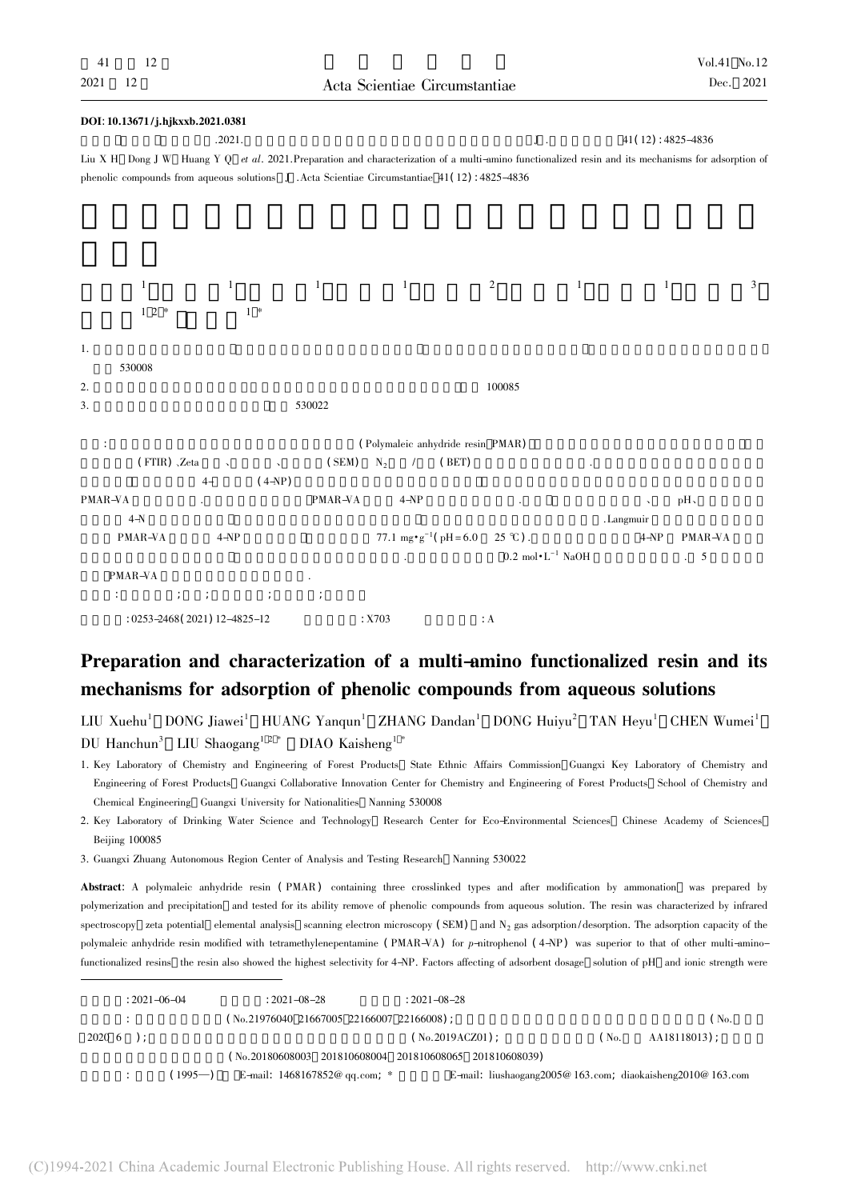| DOI: 10.13671/j.hjkxxb.2021.0381                                                                                                                    |              |                                         |                                              |                     |
|-----------------------------------------------------------------------------------------------------------------------------------------------------|--------------|-----------------------------------------|----------------------------------------------|---------------------|
| .2021.                                                                                                                                              |              |                                         | $J$ .                                        | 41(12): 4825-4836   |
| Liu X H Dong J W Huang Y Q et al. 2021. Preparation and characterization of a multi-amino functionalized resin and its mechanisms for adsorption of |              |                                         |                                              |                     |
| phenolic compounds from aqueous solutions J .Acta Scientiae Circumstantiae 41(12): 4825-4836                                                        |              |                                         |                                              |                     |
|                                                                                                                                                     |              |                                         |                                              |                     |
|                                                                                                                                                     |              |                                         |                                              |                     |
|                                                                                                                                                     |              |                                         |                                              |                     |
|                                                                                                                                                     |              |                                         |                                              |                     |
| $\,1\,$<br>$\mathbf{1}$                                                                                                                             | $\mathbf{1}$ | $\mathbf{1}$                            | $\mathbf{1}$<br>$\overline{2}$               | $\mathbf{1}$<br>3   |
| $1 \t2 *$<br>$1 *$                                                                                                                                  |              |                                         |                                              |                     |
|                                                                                                                                                     |              |                                         |                                              |                     |
| 1.                                                                                                                                                  |              |                                         |                                              |                     |
| 530008                                                                                                                                              |              |                                         |                                              |                     |
| 2.                                                                                                                                                  |              |                                         | 100085                                       |                     |
| 3.                                                                                                                                                  | 530022       |                                         |                                              |                     |
|                                                                                                                                                     |              |                                         |                                              |                     |
|                                                                                                                                                     |              | (Polymaleic anhydride resin PMAR)       |                                              |                     |
| (FTIR) , Zeta<br>$\overline{\phantom{a}}$                                                                                                           | (SEM)        | $N_2$<br>(BET)<br>$\sqrt{2}$            |                                              |                     |
| $(4-NP)$<br>$4-$                                                                                                                                    |              |                                         |                                              |                     |
| PMAR-VA                                                                                                                                             | PMAR-VA      | $4-NP$                                  |                                              | pH,                 |
| $4-N$                                                                                                                                               |              |                                         |                                              | .Langmuir           |
| PMAR-VA<br>$4 - NP$                                                                                                                                 |              | 77.1 mg $\cdot$ g <sup>-1</sup> (pH=6.0 | $25 \text{ }^{\circ}C$ ).                    | $4 - NP$<br>PMAR-VA |
|                                                                                                                                                     |              |                                         | $0.2\ \mathrm{mol}\cdot\mathrm{L}^{-1}$ NaOH | $\cdot$ 5           |
| PMAR-VA                                                                                                                                             |              |                                         |                                              |                     |
| ÷<br>$\ddot{ }$<br>$\ddot{ }$                                                                                                                       | $\cdot$      |                                         |                                              |                     |
| : 0253-2468(2021) 12-4825-12                                                                                                                        |              | : X703                                  | : A                                          |                     |
|                                                                                                                                                     |              |                                         |                                              |                     |

## Preparation and characterization of a multi-amino functionalized resin and its mechanisms for adsorption of phenolic compounds from aqueous solutions

 $LUXuehu<sup>1</sup>$  DONG Jiawei<sup>1</sup> HUANG Yangun<sup>1</sup> ZHANG Dandan<sup>1</sup> DONG Huivu<sup>2</sup> TAN Hevu<sup>1</sup> CHEN Wumei<sup>1</sup> DU Hanchun<sup>3</sup> LIU Shaogang<sup>12\*</sup> DIAO Kaisheng<sup>1</sup>

1. Key Laboratory of Chemistry and Engineering of Forest Products State Ethnic Affairs Commission Guangxi Key Laboratory of Chemistry and Engineering of Forest Products Guangxi Collaborative Innovation Center for Chemistry and Engineering of Forest Products School of Chemistry and Chemical Engineering Guangxi University for Nationalities Nanning 530008

2. Key Laboratory of Drinking Water Science and Technology Research Center for Eco-Environmental Sciences Chinese Academy of Sciences Beijing 100085

3. Guangxi Zhuang Autonomous Region Center of Analysis and Testing Research Nanning 530022

Abstract: A polymaleic anhydride resin ( PMAR) containing three crosslinked types and after modification by ammonation was prepared by polymerization and precipitation and tested for its ability remove of phenolic compounds from aqueous solution. The resin was characterized by infrared spectroscopy zeta potential elemental analysis scanning electron microscopy (SEM) and  $N_2$  gas adsorption/desorption. The adsorption capacity of the polymaleic anhydride resin modified with tetramethylenepentamine (PMAR-VA) for p-nitrophenol (4-NP) was superior to that of other multi-aminofunctionalized resins the resin also showed the highest selectivity for 4-NP. Factors affecting of adsorbent dosage solution of pH and ionic strength were

| $: 2021 - 06 - 04$ |           | $: 2021 - 08 - 28$                          | $: 2021 - 08 - 28$                                        |     |                   |
|--------------------|-----------|---------------------------------------------|-----------------------------------------------------------|-----|-------------------|
|                    |           | $(N_0.21976040 21667005 22166007 22166008)$ |                                                           |     | (N <sub>0</sub> ) |
| $2020 \t6$ ):      |           |                                             | ( No.2019ACZ01) ;                                         | No. | AA18118013):      |
|                    |           |                                             | (No.20180608003 201810608004 201810608065 201810608039)   |     |                   |
|                    | $(1995-)$ | E-mail: $1468167852@$ qq.com; *             | E-mail: liushaogang2005@163.com; diaokaisheng2010@163.com |     |                   |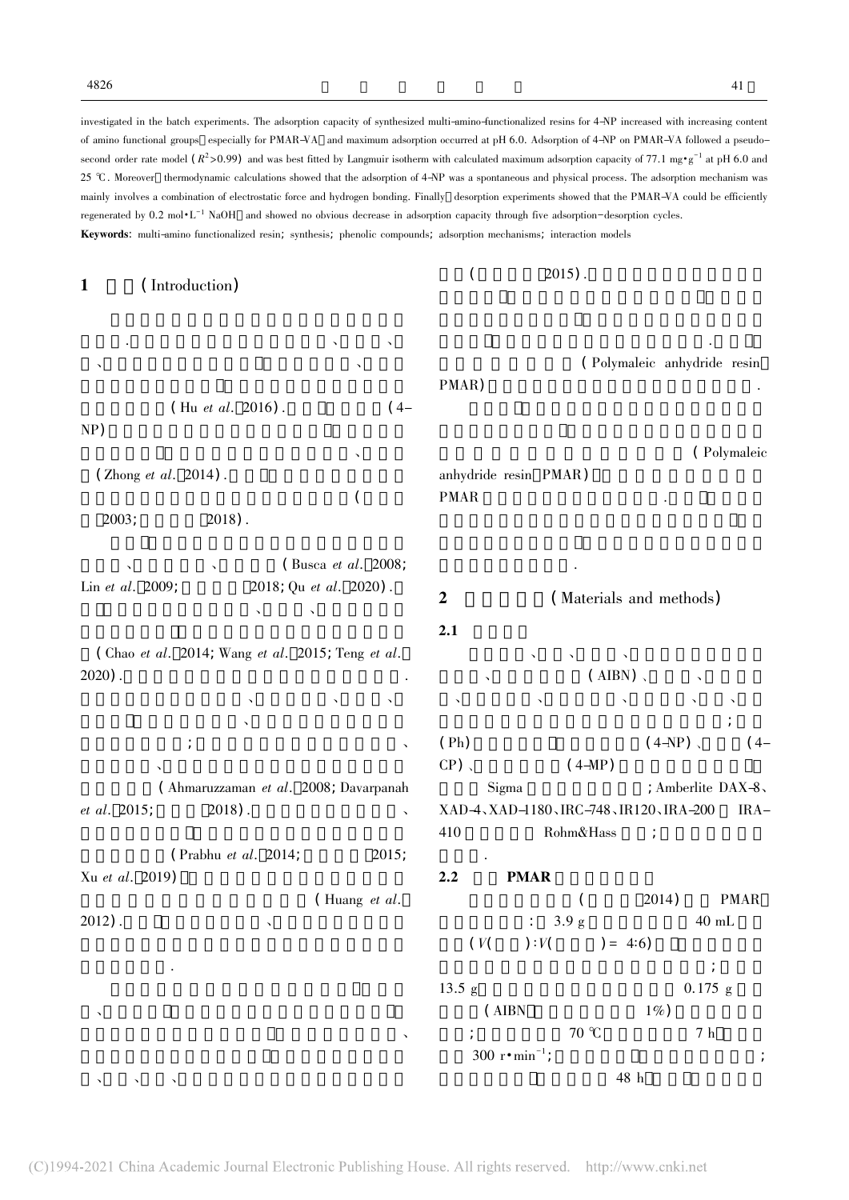investigated in the batch experiments. The adsorption capacity of synthesized multi-amino-functionalized resins for 4-NP increased with increasing content of amino functional groups especially for PMAR-VA and maximum adsorption occurred at pH 6.0. Adsorption of 4-NP on PMAR-VA followed a pseudosecond order rate model  $(R^2 > 0.99)$  and was best fitted by Langmuir isotherm with calculated maximum adsorption capacity of 77.1 mg·g<sup>-1</sup> at pH 6.0 and 25 ℃ . Moreover thermodynamic calculations showed that the adsorption of 4-NP was a spontaneous and physical process. The adsorption mechanism was mainly involves a combination of electrostatic force and hydrogen bonding. Finally desorption experiments showed that the PMAR-VA could be efficiently regenerated by 0.2 mol·L<sup>-1</sup> NaOH and showed no obvious decrease in adsorption capacity through five adsorption-desorption cycles. Keywords: multi-amino functionalized resin; synthesis; phenolic compounds; adsorption mechanisms; interaction models

1 (Introduction) 污染物.含酚废水主要来源于石油化工、煤化工、  $\mathcal{S}_{\mathcal{A}}$  $(Hu \text{ et al. } 2016)$  .  $(4-$ NP)  $\mathcal{S}_{\mathcal{A}}$  $(Zhong et al. 2014)$ .  $\mathcal{L}$  $2003;$   $2018$ ).  $(Busca et al. 2008;$ Lin et al. 2009;  $2018$ ; Qu et al. 2020). 吸附法因具有操作简单、可再生、吸附选择性高 ( Chao et al. 2014; Wang et al. 2015; Teng et al.  $2020$ ) . 大統領 医血管炎 医血管炎 医血管炎  $\mathcal{A} = \frac{1}{2} \sum_{i=1}^{n} \frac{1}{2} \sum_{j=1}^{n} \frac{1}{2} \sum_{j=1}^{n} \frac{1}{2} \sum_{j=1}^{n} \frac{1}{2} \sum_{j=1}^{n} \frac{1}{2} \sum_{j=1}^{n} \frac{1}{2} \sum_{j=1}^{n} \frac{1}{2} \sum_{j=1}^{n} \frac{1}{2} \sum_{j=1}^{n} \frac{1}{2} \sum_{j=1}^{n} \frac{1}{2} \sum_{j=1}^{n} \frac{1}{2} \sum_{j=1}^{n} \frac{1}{2} \sum$  $\mathcal{L}_{\mathcal{A}}$  $\mathcal{S}_{\mathcal{S}}$ (Ahmaruzzaman et al. 2008; Davarpanah  $et \ al. \ 2015$ ;  $2018$ .  $( \text{Prabhu } et \text{ }al. \text{ } 2014;$   $2015;$ Xu et al.  $2019$ )  $($  Huang et al.  $2012$ ). 点和关键问题.  $\Delta$  $\mathcal{L}_{\text{max}}$  $(2015)$ . 能基团 可大大降低吸附树脂的生产成本.目前 (Polymaleic anhydride resin PMAR) (Polymaleic anhydride resin PMAR) PMAR  $\blacksquare$ 理提供新思路和方法. 2 (Materials and methods)  $2.1$ 马来酸酐、丁酮、正庚烷、三甲基丙烷三甲基丙  $(ABN)$ 、三乙烯四胺、四乙烯四胺、氢氧化钠、盐酸、丙酮  $\mathcal{A}=\mathcal{A}$ ( $Ph$ )  $(4-NP)$  ( $4-P$ )  $(4-P)$  $CP)$ ,  $(4-MP)$ Sigma ; Amberlite DAX-8、 XAD-4、XAD-1180、IRC-748、IR120、IRA-200 IRA-410 Rohm&Hass : 超纯水. 2.2 PMAR  $(2014)$  PMAR  $: 3.9 \text{ g}$   $40 \text{ mL}$  $(V($   $):V($   $)= 4:6)$  $\frac{1}{R}$  $13.5 \text{ g}$  0.175 g  $(AIBN \t 1\%)$  $\frac{1}{2}$  70 °C 7 h

300  $r \cdot \text{min}^{-1}$ ;

;  $\overline{z}$  ,  $\overline{z}$  ,  $\overline{z}$  ,  $\overline{z}$  ,  $\overline{z}$  ,  $\overline{z}$  ,  $\overline{z}$  ,  $\overline{z}$  ,  $\overline{z}$  ,  $\overline{z}$  ,  $\overline{z}$  ,  $\overline{z}$  ,  $\overline{z}$  ,  $\overline{z}$  ,  $\overline{z}$  ,  $\overline{z}$  ,  $\overline{z}$  ,  $\overline{z}$  ,  $\overline{z}$  ,  $\overline{z}$  ,

 $48$  h

 $\lambda = \lambda$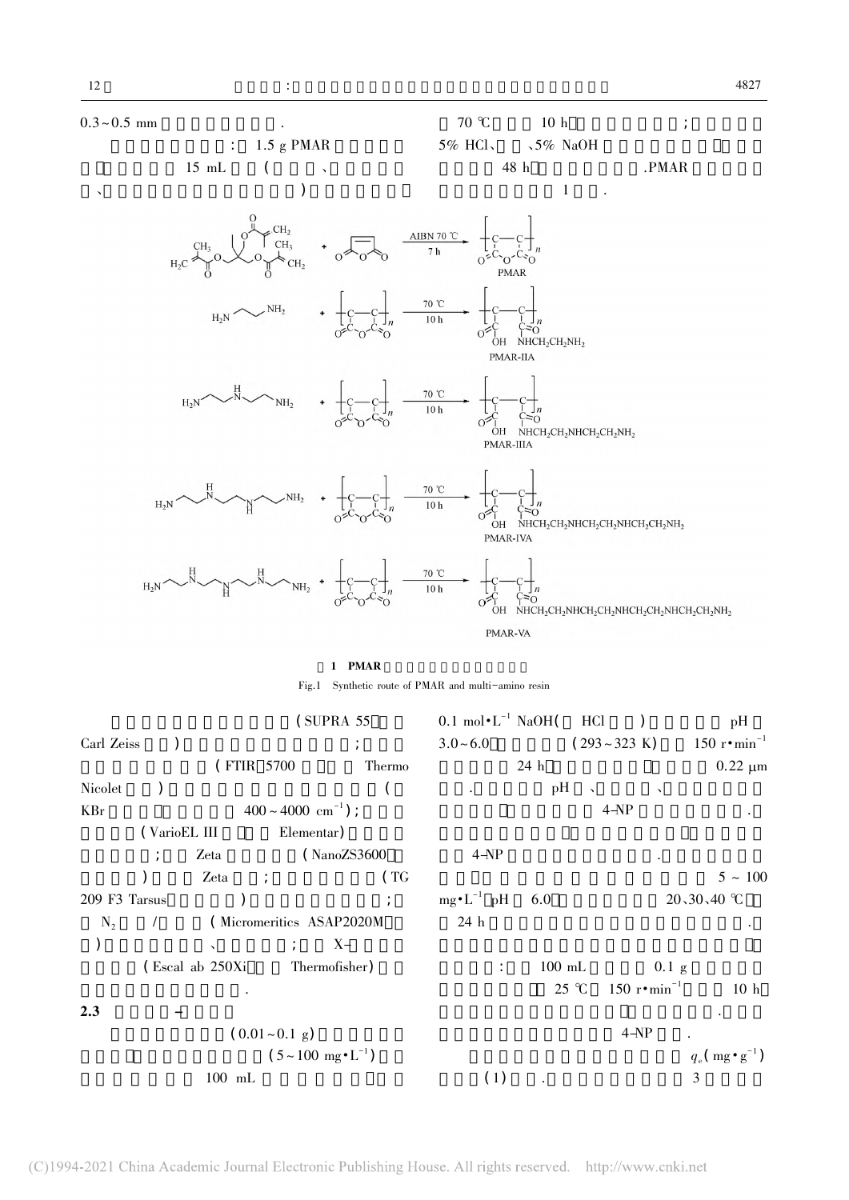$CH<sub>3</sub>$ 

 $H_2N$ 

 $H<sub>2</sub>$ C





PMAR-VA

### 1 PMAR

Fig.1 Synthetic route of PMAR and multi-amino resin

|               |              |                                     | (SUPRA 55)                                    |        | $0.1 \text{ mol} \cdot L^{-1} \text{ NaOH}$ HCl |          |                        |                               | pH                                   |
|---------------|--------------|-------------------------------------|-----------------------------------------------|--------|-------------------------------------------------|----------|------------------------|-------------------------------|--------------------------------------|
| Carl Zeiss    |              |                                     |                                               |        | $3.0 - 6.0$                                     |          |                        | $(293 - 323 \text{ K})$       | 150 $r \cdot \text{min}^{-1}$        |
|               |              | (FTIR 5700)                         |                                               | Thermo |                                                 | 24 h     |                        |                               | $0.22 \mu m$                         |
| Nicolet       |              |                                     |                                               |        |                                                 | pН       | $\sim$                 | $\lambda$                     |                                      |
| <b>KBr</b>    |              |                                     | $400 \sim 4000 \text{ cm}^{-1}$ ;             |        |                                                 |          |                        | $4 - NP$                      |                                      |
|               | (VarioEL III |                                     | Elementar)                                    |        |                                                 |          |                        |                               |                                      |
|               |              | Zeta                                | (NanoZS3600)                                  |        | $4 - NP$                                        |          |                        |                               |                                      |
|               |              | Zeta<br>$\mathcal{L}^{\mathcal{L}}$ |                                               | (TG)   |                                                 |          |                        |                               | $5 \sim 100$                         |
| 209 F3 Tarsus |              |                                     |                                               |        | $mg \cdot L^{-1}$ pH                            | 6.0      |                        |                               | 20,30,40 ℃                           |
| $N_{2}$       |              |                                     | (Micromeritics ASAP2020M                      |        | 24 h                                            |          |                        |                               |                                      |
|               |              | $\mathbf{v}$                        | $\chi -$                                      |        |                                                 |          |                        |                               |                                      |
|               |              | (Escal ab 250Xi                     | Thermofisher)                                 |        | ÷                                               | $100$ mL |                        | $0.1$ g                       |                                      |
|               |              |                                     |                                               |        |                                                 |          | $25 \text{ }^{\circ}C$ | 150 $r \cdot \text{min}^{-1}$ | 10 <sub>h</sub>                      |
| 2.3           |              |                                     |                                               |        |                                                 |          |                        |                               |                                      |
|               |              | $(0.01 - 0.1$ g)                    |                                               |        |                                                 |          |                        | $4 - NP$                      |                                      |
|               |              |                                     | $(5 \sim 100 \text{ mg} \cdot \text{L}^{-1})$ |        |                                                 |          |                        |                               | $q_e(\text{mg} \cdot \text{g}^{-1})$ |
|               |              | $100$ mL                            |                                               |        | (1)                                             |          |                        |                               | 3                                    |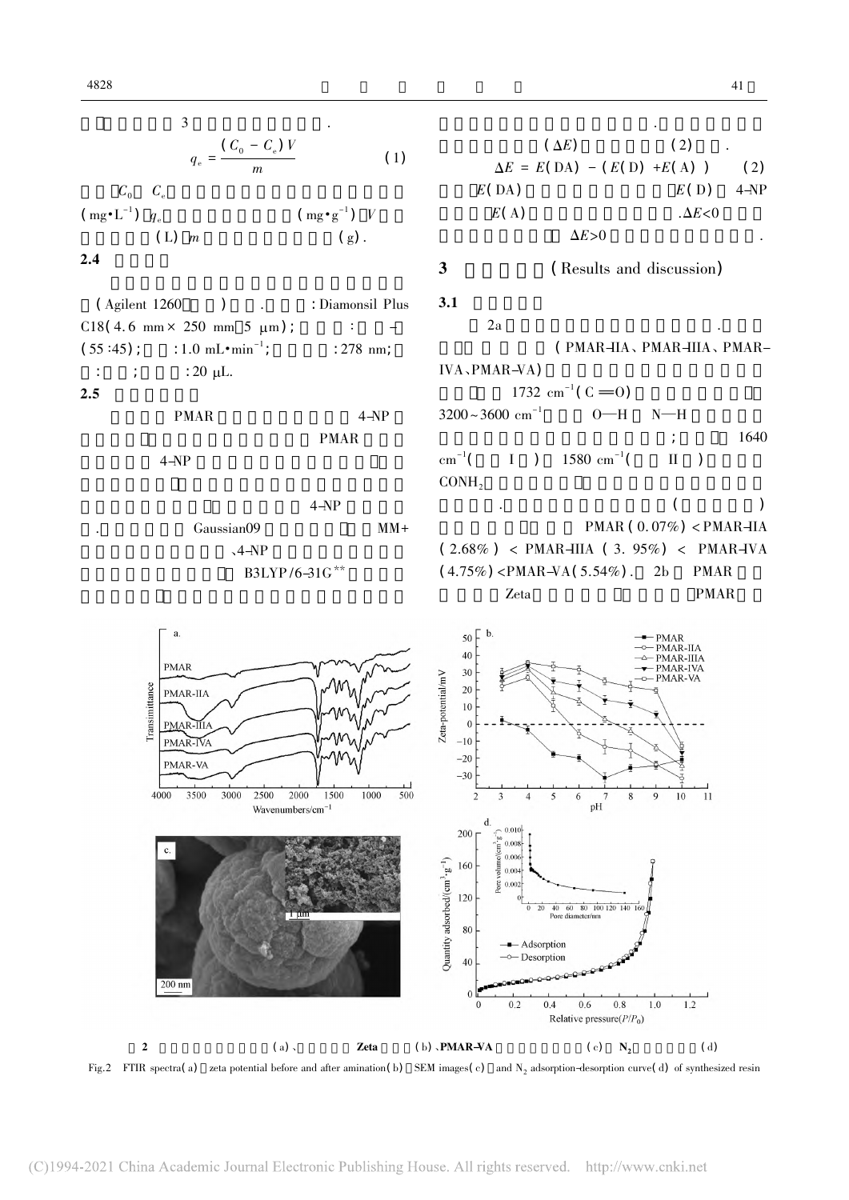3  

$$
q_e = \frac{(C_0 - C_e)V}{m}
$$
 (1)

 $C_{0}$   $C_{e}$ 

 $(\text{mg} \cdot \text{L}^{-1})$   $q_e$ )  $q_e$  (mg·g<sup>-1</sup>) V (L)  $m$  (g).

## $2.4$

( Agilent 1260 ) (Biamonsil Plus  $C18(4.6 \text{ mm} \times 250 \text{ mm} 5 \text{ µm})$ ; :  $(55:45)$ ;  $: 1.0 \text{ mL} \cdot \text{min}^{-1}$ ; : 278 nm; :  $\therefore$   $: 20 \mu L$ .  $2.5$ PMAR  $4-NP$ PMAR

 $4-NP$ 

 $4-NP$ Gaussian09 MM+  $\sim4-\mathrm{NP}$ B3LYP/6-31G\*\*

$$
(\Delta E) \qquad (2) \qquad .
$$
\n
$$
\Delta E = E(\text{DA}) - (E(\text{D}) + E(\text{A})) \qquad (2)
$$
\n
$$
E(\text{DA}) \qquad E(\text{D}) \qquad 4-\text{NP}
$$
\n
$$
E(\text{A}) \qquad \Delta E > 0
$$
\n3

\n(Results and discussion)

\n3.1

\n2a

\n(PMAR-HA, PMAR-HIA, PMAR-HIA, PMAR-HIA, PMAR-NA)

\n1732 cm<sup>-1</sup> (C = 0)

\n3200~3600 cm<sup>-1</sup> O-H N-H

\n; 1640

优化得到能量最低最稳定的结构.二者形成的复合

 $cm^{-1}$ (  $I$  ) 1580 cm<sup>-1</sup>(  $($  II  $)$  $COMH<sub>2</sub>$  $\mathcal{A}$ .  $PMAR ( 0.07\%) < PMAR-IIA$  $(2.68\%)$  < PMAR-IIIA  $(3.95\%)$  < PMAR-IVA  $(4.75\%)$  <PMAR-VA $(5.54\%)$ . 2b PMAR

Zeta PMAR



 $3.1$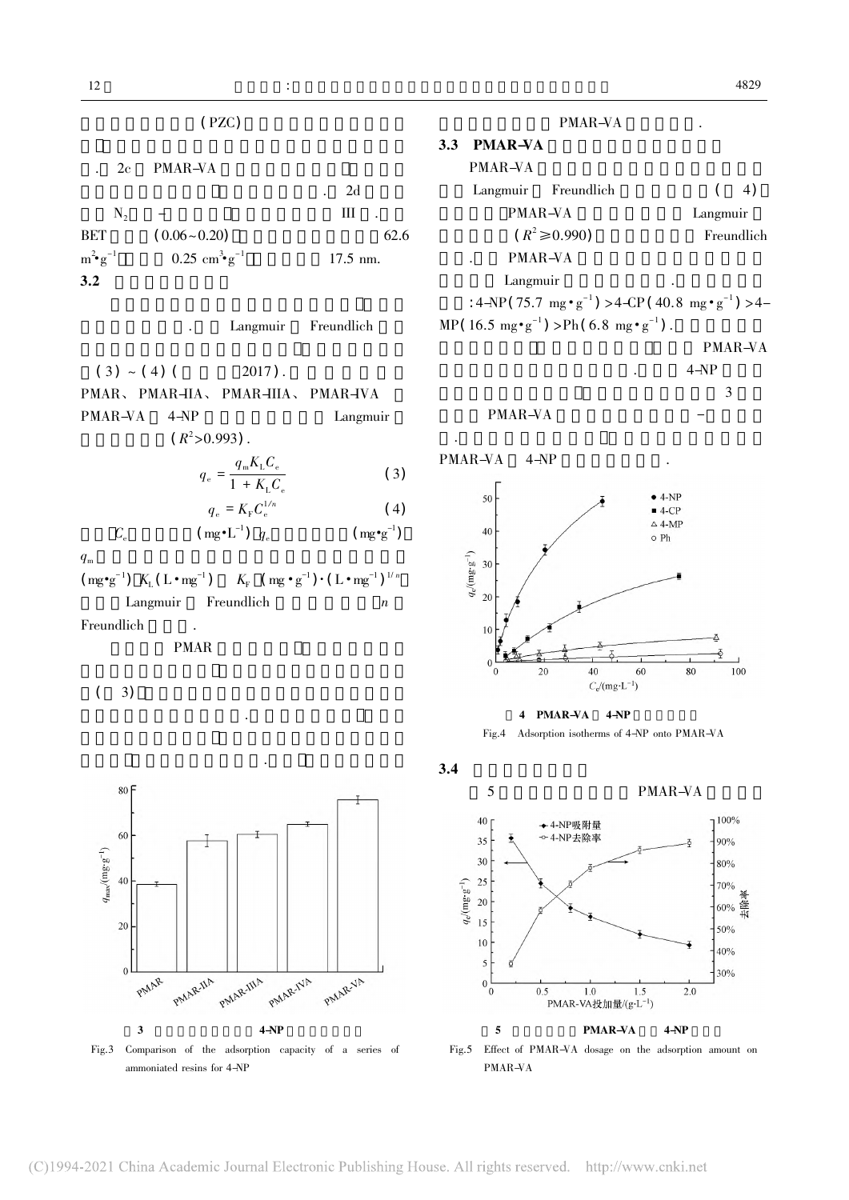$(PZC)$ 

| 2c             | <b>PMAR-VA</b>                     |            |
|----------------|------------------------------------|------------|
|                |                                    | 2d         |
| $N_{2}$        |                                    | Ш          |
| BET            | $(0.06 - 0.20)$                    | 62.6       |
| $m^2$ $g^{-1}$ | $0.25 \text{ cm}^3 \text{·g}^{-1}$ | $17.5$ nm. |
| 3.2            |                                    |            |
|                |                                    |            |

Langmuir Freundlich

 $(3) \sim (4)$  ( 2017). PMAR、 PMAR-IIA、 PMAR-IIIA、 PMAR-IVA PMAR-VA 4-NP Langmuir  $(R^2>0.993)$ .

$$
q_e = \frac{q_{\rm m} K_{\rm L} C_{\rm e}}{1 + K_{\rm L} C_{\rm e}} \tag{3}
$$

$$
q_e = K_{\rm F} C_e^{1/n} \tag{4}
$$

$$
C_{\rm e} \hspace{1cm} (\text{mg}^{\bullet} \text{L}^{-1}) \hspace{0.2cm} q_{\rm e} \hspace{1cm} (\text{mg}^{\bullet} \text{g}^{-1})
$$

 $(\text{mg} \cdot \text{g}^{-1})$   $K_L$  ( L  $\cdot$  mg<sup>-1</sup> )  $K_{\mathrm{F}}$   $(\mathrm{mg} \cdot \mathrm{g}^{-1}) \cdot (\mathrm{L} \cdot \mathrm{mg}^{-1})^{1/n}$ Langmuir Freundlich  $n$ 

的吸附性能中起重要作用.通常含氮量越多 则作为

Freundlich .

PMAR

 $(3)$ 



|     |                | PMAR-VA                                                                                                                                                    |            |    |  |
|-----|----------------|------------------------------------------------------------------------------------------------------------------------------------------------------------|------------|----|--|
| 3.3 | <b>PMAR-VA</b> |                                                                                                                                                            |            |    |  |
|     | PMAR-VA        |                                                                                                                                                            |            |    |  |
|     |                | Langmuir Freundlich                                                                                                                                        |            | 4) |  |
|     | PMAR-VA        |                                                                                                                                                            | Langmuir   |    |  |
|     |                | $(R^2 \ge 0.990)$                                                                                                                                          | Freundlich |    |  |
|     | PMAR-VA        |                                                                                                                                                            |            |    |  |
|     | Langmuir       |                                                                                                                                                            |            |    |  |
|     |                | : $4-\text{NP}(75.7 \text{ mg} \cdot \text{g}^{-1}) > 4-\text{CP}(40.8 \text{ mg} \cdot \text{g}^{-1}) > 4-\text{CP}(40.8 \text{ mg} \cdot \text{g}^{-1})$ |            |    |  |
|     |                | MP(16.5 mg $\cdot$ g <sup>-1</sup> ) >Ph(6.8 mg $\cdot$ g <sup>-1</sup> ).                                                                                 |            |    |  |
|     |                |                                                                                                                                                            | PMAR-VA    |    |  |

 $. 4-NP$  $\frac{3}{3}$ 

PMAR-VA .在这些酚类化合物中 实验结果进一步证实了 PMAR-VA 4-NP  $\bullet$  4-NP 50  $4-CP$  $\triangle$  4-MP  $40$  $\circ$  Ph  $q_{\rm e} /(\rm m g \cdotp g^{-1})$ 30  $20$ 10  $\mathbf{0}$  $20\,$  $40\,$ 60 80  $100\,$  $\overline{0}$  $C_{\rm e}/({\rm mg}\!\cdot\!{\rm L}^{-1})$ 

 $4$  PMAR-VA  $4-NP$ 

Fig.4 Adsorption isotherms of 4-NP onto PMAR-VA

 $3.4$ 

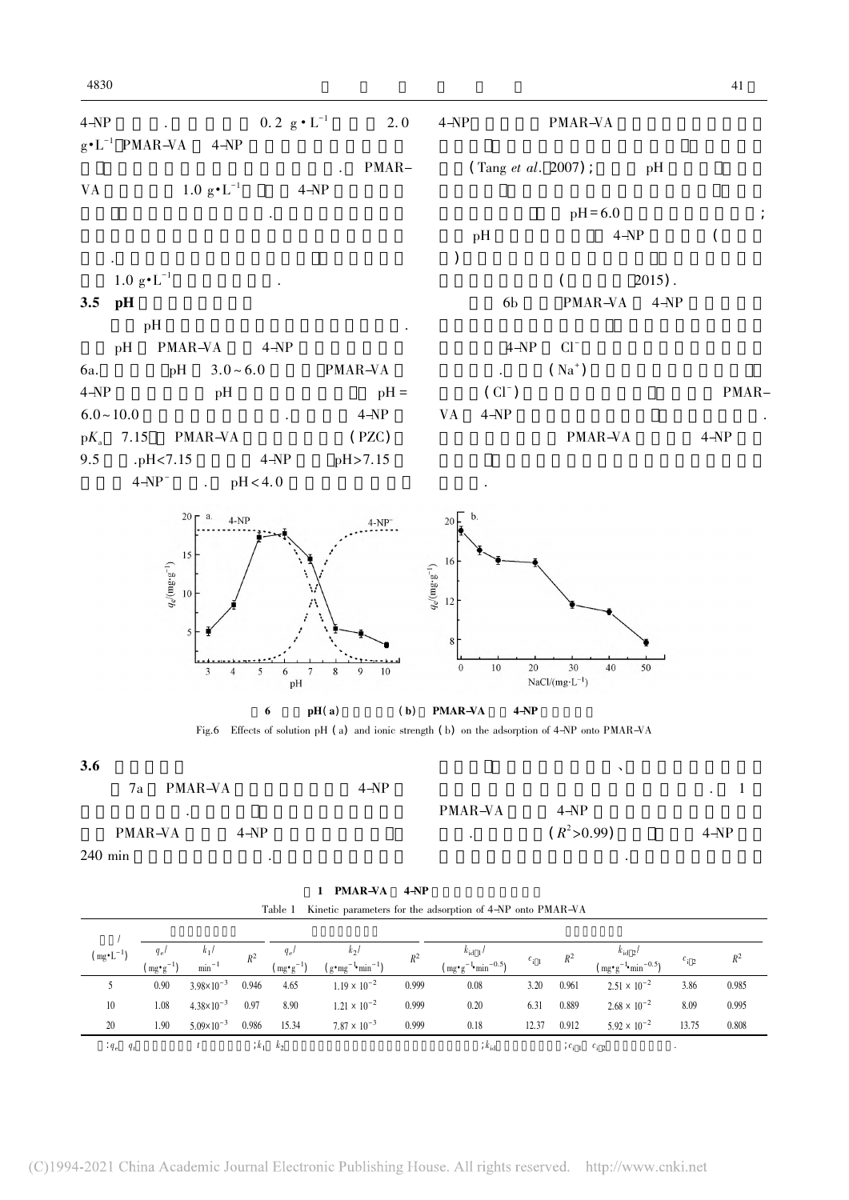

 $240$  min

| 1 PMAR-VA 4-NP |  |  |  |  |
|----------------|--|--|--|--|
|                |  |  |  |  |

|  |  | Table 1 Kinetic parameters for the adsorption of 4-NP onto PMAR-VA |  |  |  |  |  |  |
|--|--|--------------------------------------------------------------------|--|--|--|--|--|--|
|--|--|--------------------------------------------------------------------|--|--|--|--|--|--|

| $(mg \cdot L^{-1})$   | $q_e$<br>$\mu mg \cdot g^{-1}$ | $k_1$<br>$min^{-1}$   | $R^2$ | $q_e$<br>$(mg \cdot g^{-1})$ | $k_2$<br>$(g \cdot mg^{-1} \cdot min^{-1})$ | $R^2$ | $k_{\text{id}1}$<br>$\left(\text{mg} \cdot \text{g}^{-1} \cdot \text{min}^{-0.5}\right)$ | $c_{i-1}$ | $R^2$               | $k_{\rm id}$ 2/<br>$(\text{mg} \cdot \text{g}^{-1} \cdot \text{min}^{-0.5})$ | $c_{i2}$  | $R^2$ |
|-----------------------|--------------------------------|-----------------------|-------|------------------------------|---------------------------------------------|-------|------------------------------------------------------------------------------------------|-----------|---------------------|------------------------------------------------------------------------------|-----------|-------|
|                       | 0.90                           | $3.98 \times 10^{-3}$ | 0.946 | 4.65                         | $1.19 \times 10^{-2}$                       | 0.999 | 0.08                                                                                     | 3.20      | 0.961               | $2.51 \times 10^{-2}$                                                        | 3.86      | 0.985 |
| 10                    | 1.08                           | $4.38 \times 10^{-3}$ | 0.97  | 8.90                         | $1.21 \times 10^{-2}$                       | 0.999 | 0.20                                                                                     | 6.31      | 0.889               | $2.68 \times 10^{-2}$                                                        | 8.09      | 0.995 |
| 20                    | 1.90                           | $5.09 \times 10^{-3}$ | 0.986 | 15.34                        | $7.87 \times 10^{-3}$                       | 0.999 | 0.18                                                                                     | 12.37     | 0.912               | $5.92 \times 10^{-2}$                                                        | 13.75     | 0.808 |
| $\cdot q_e \quad q_t$ |                                |                       | $k_1$ | $k_{2}$                      |                                             |       | $k_{\rm id}$                                                                             |           | $c_{i-1}$ $c_{i-2}$ |                                                                              | $\bullet$ |       |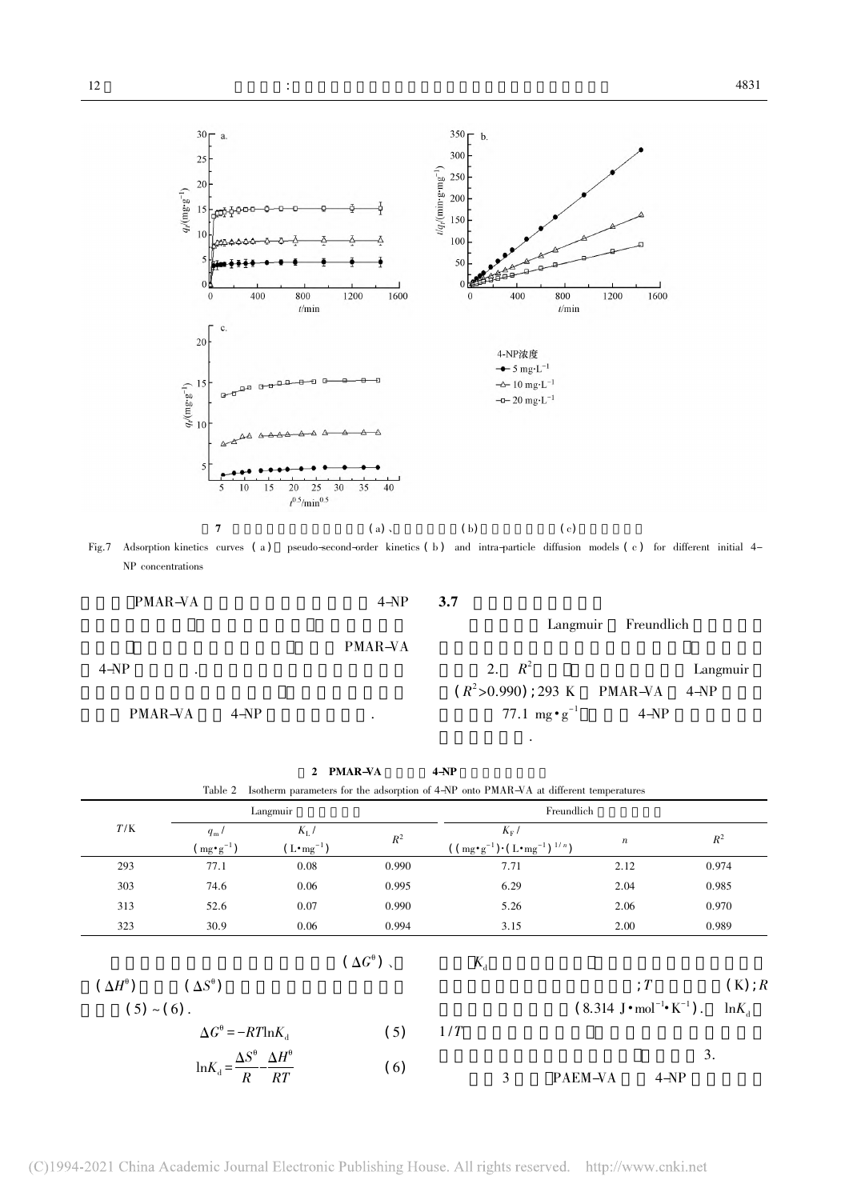

Fig.7 Adsorption kinetics curves (a) pseudo-second-order kinetics (b) and intra-particle diffusion models (c) for different initial 4-NP concentrations

附为单层吸附.

PMAR-VA  $4-\text{NP}$ 

3.7

# PMAR-VA

 $4-\mathrm{NP}$  .

PMAR-VA 4-NP

| 2. $R^2$                        |      | Langmuir |
|---------------------------------|------|----------|
| $(R^2>0.990)$ ; 293 K PMAR-VA   |      | 4-NP     |
| 77.1 mg $\cdot$ g <sup>-1</sup> | 4-NP |          |

Langmuir Freundlich

|                       |                                                                                                                               |                     | 2 PMAR-VA             | $4-NP$                                                                                |                                                                 |                |
|-----------------------|-------------------------------------------------------------------------------------------------------------------------------|---------------------|-----------------------|---------------------------------------------------------------------------------------|-----------------------------------------------------------------|----------------|
|                       | Table 2                                                                                                                       |                     |                       | Isotherm parameters for the adsorption of 4-NP onto PMAR-VA at different temperatures |                                                                 |                |
|                       |                                                                                                                               | Langmuir            |                       |                                                                                       | Freundlich                                                      |                |
| T/K                   | $q_{\rm m}$ /                                                                                                                 | $K_{\rm L}$ /       | $R^2$                 | $K_{\rm F}$ /                                                                         |                                                                 | $R^2$          |
|                       | $(mg \cdot g^{-1})$                                                                                                           | $(L \cdot mg^{-1})$ |                       | $((mg \cdot g^{-1}) \cdot (L \cdot mg^{-1})^{1/n})$                                   | $\boldsymbol{n}$                                                |                |
| 293                   | 77.1                                                                                                                          | 0.08                | 0.990                 | 7.71                                                                                  | 2.12                                                            | 0.974          |
| 303                   | 74.6                                                                                                                          | 0.06                | 0.995                 | 6.29                                                                                  | 2.04                                                            | 0.985          |
| 313                   | 52.6                                                                                                                          | 0.07                | 0.990                 | 5.26                                                                                  | 2.06                                                            | 0.970          |
| 323                   | 30.9                                                                                                                          | 0.06                | 0.994                 | 3.15                                                                                  | 2.00                                                            | 0.989          |
|                       |                                                                                                                               |                     | $(\Delta G^{\theta})$ | $K_{d}$                                                                               |                                                                 |                |
| $(\Delta H^{\theta})$ | $(\Delta S^{\theta})$                                                                                                         |                     |                       |                                                                                       |                                                                 | $(K)$ ; R<br>T |
| $(5) \sim (6)$ .      |                                                                                                                               |                     |                       |                                                                                       | $(8.314 \text{ J} \cdot \text{mol}^{-1} \cdot \text{K}^{-1})$ . | $ln K_a$       |
|                       | $\Delta G^{\theta} = -RT \ln K_{\text{d}}$<br>$\ln K_{\text{d}} = \frac{\Delta S^{\theta}}{R} - \frac{\Delta H^{\theta}}{RT}$ |                     | (5)                   | 1/T                                                                                   |                                                                 |                |
|                       |                                                                                                                               |                     |                       |                                                                                       |                                                                 | 3.             |
|                       |                                                                                                                               |                     | (6)                   | 3                                                                                     | PAEM-VA                                                         | $4-NP$         |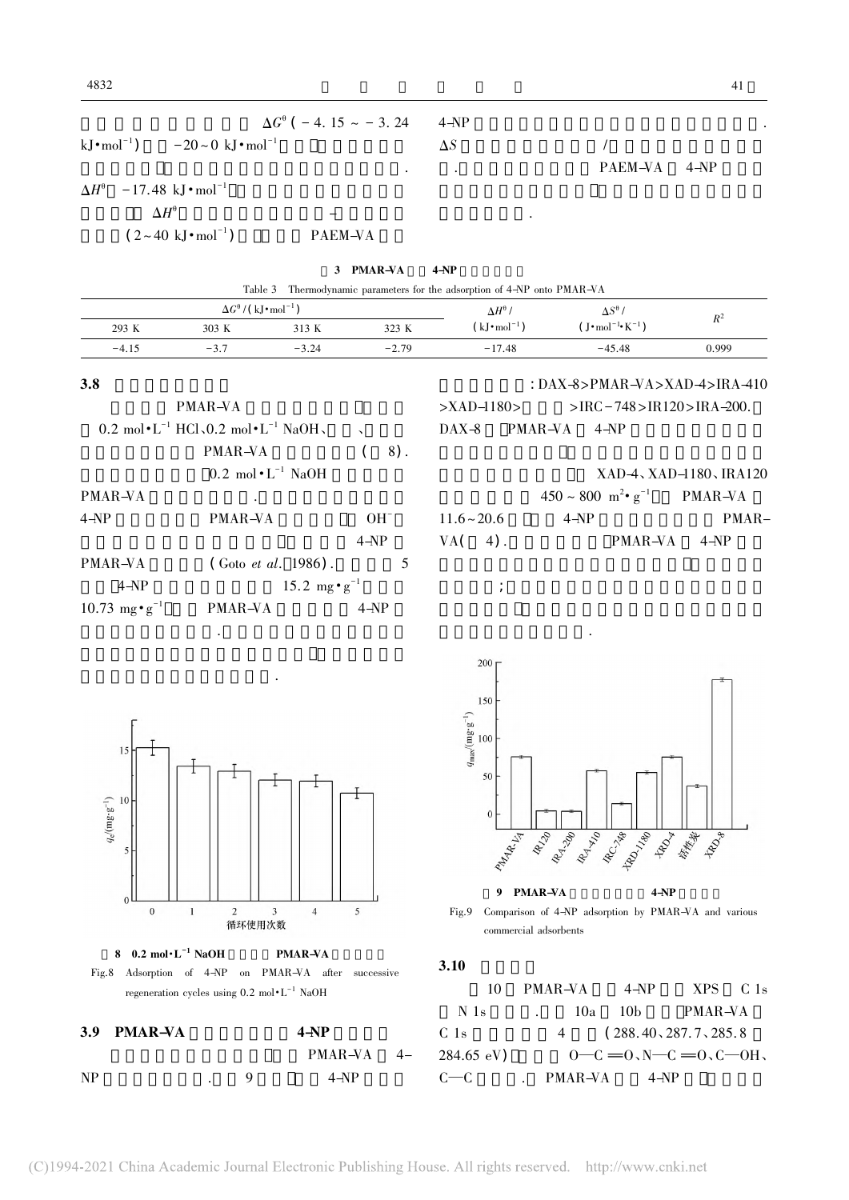| $\Delta G^{\theta}$ ( – 4. 15 ~ – 3. 24 4-NP                             |     |              |  |
|--------------------------------------------------------------------------|-----|--------------|--|
| kJ $\cdot$ mol <sup>-1</sup> ) $-20 \sim 0$ kJ $\cdot$ mol <sup>-1</sup> | AS. |              |  |
|                                                                          |     | PAEM-VA 4-NP |  |

极相互作用等.

 $\Delta H^{\theta}$  -17.48 kJ · mol<sup>-1</sup>  $-1$  $\Delta H^\theta$ 的绝对值在氢键或偶极-偶极作用力  $(2-40 \text{ kJ} \cdot \text{mol}^{-1})$ PAEM-VA

|         |                                                                                                               | 3       | <b>PMAR-VA</b> | $4-NP$                                                           |                                                                        |                                 |  |
|---------|---------------------------------------------------------------------------------------------------------------|---------|----------------|------------------------------------------------------------------|------------------------------------------------------------------------|---------------------------------|--|
|         | Table 3                                                                                                       |         |                | Thermodynamic parameters for the adsorption of 4-NP onto PMAR-VA |                                                                        |                                 |  |
|         | $\Delta G^{\theta}$ / (kJ • mol <sup>-1</sup> )                                                               |         |                | $\Delta H^{\theta}$ /                                            | $\Delta S^{\theta}$ /                                                  |                                 |  |
| 293 K   | 303 K                                                                                                         | 313 K   | 323 K          | $(kJ \cdot \text{mol}^{-1})$                                     | $(J \cdot \text{mol}^{-1} \cdot \text{K}^{-1})$                        | $R^2$                           |  |
| $-4.15$ | $-3.7$                                                                                                        | $-3.24$ | $-2.79$        | $-17.48$                                                         | $-45.48$                                                               | 0.999                           |  |
| 3.8     | PMAR-VA                                                                                                       |         |                | $>$ XAD $-1180$                                                  | : DAX-8>PMAR-VA>XAD-4>IRA-410<br>$>$ IRC – 748 $>$ IR120 $>$ IRA –200. |                                 |  |
|         | 0.2 mol $\cdot$ L <sup>-1</sup> HCl <sub>s</sub> O.2 mol $\cdot$ L <sup>-1</sup> NaOH <sub>s</sub><br>PMAR-VA |         | $8)$ .         | PMAR-VA<br>$\text{DAX-8}$                                        | $4-NP$                                                                 |                                 |  |
|         | $0.2 \text{ mol} \cdot \text{L}^{-1} \text{ NaOH}$                                                            |         |                |                                                                  |                                                                        | $XAD-4$ , $XAD-1180$ , $IRA120$ |  |

| PMAR-VA                          | ٠                               |          |  |
|----------------------------------|---------------------------------|----------|--|
| $4 - NP$                         | PMAR-VA                         | $OH^-$   |  |
|                                  |                                 | $4 - NP$ |  |
| PMAR-VA                          | $($ Goto <i>et al.</i> 1986).   | 5        |  |
| 4-NP                             | 15.2 mg $\cdot$ g <sup>-1</sup> |          |  |
| 10.73 mg $\cdot$ g <sup>-1</sup> | PMAR-VA                         | 4-NP     |  |

面具有潜在应用价值.多次重复以后吸附性能的稍

一步优化洗脱剂及其洗脱条件.

|               |        |                                                        | $XAD-4$ , $XAD-1180$ , $IRA120$ |
|---------------|--------|--------------------------------------------------------|---------------------------------|
|               |        | $450 \sim 800 \text{ m}^2 \cdot \text{g}^{-1}$ PMAR-VA |                                 |
| $11.6 - 20.6$ | $4-NP$ |                                                        | $PMAR-$                         |
| $VA(4)$ .     |        | PMAR-VA 4-NP                                           |                                 |

 $\mathcal{L}_{\mathcal{D}}$ ; 进一步证明比表面积不是吸附的量。

及亲疏水性等因素有关.









Fig.9 Comparison of 4-NP adsorption by PMAR-VA and various commercial adsorbents

 $3.10$ 

|                 |     | $10$ PMAR-VA $4-NP$ | $XPS$ $C1s$              |  |
|-----------------|-----|---------------------|--------------------------|--|
| N 1s            | 10a |                     | 10b PMAR–VA              |  |
| C <sub>1s</sub> |     |                     | 4(288.40, 287.7, 285.8)  |  |
| 284.65 eV)      |     |                     | $0-C = 0, N-C = 0, C-0H$ |  |
| $c$ — $c$       |     | PMAR-VA 4-NP        |                          |  |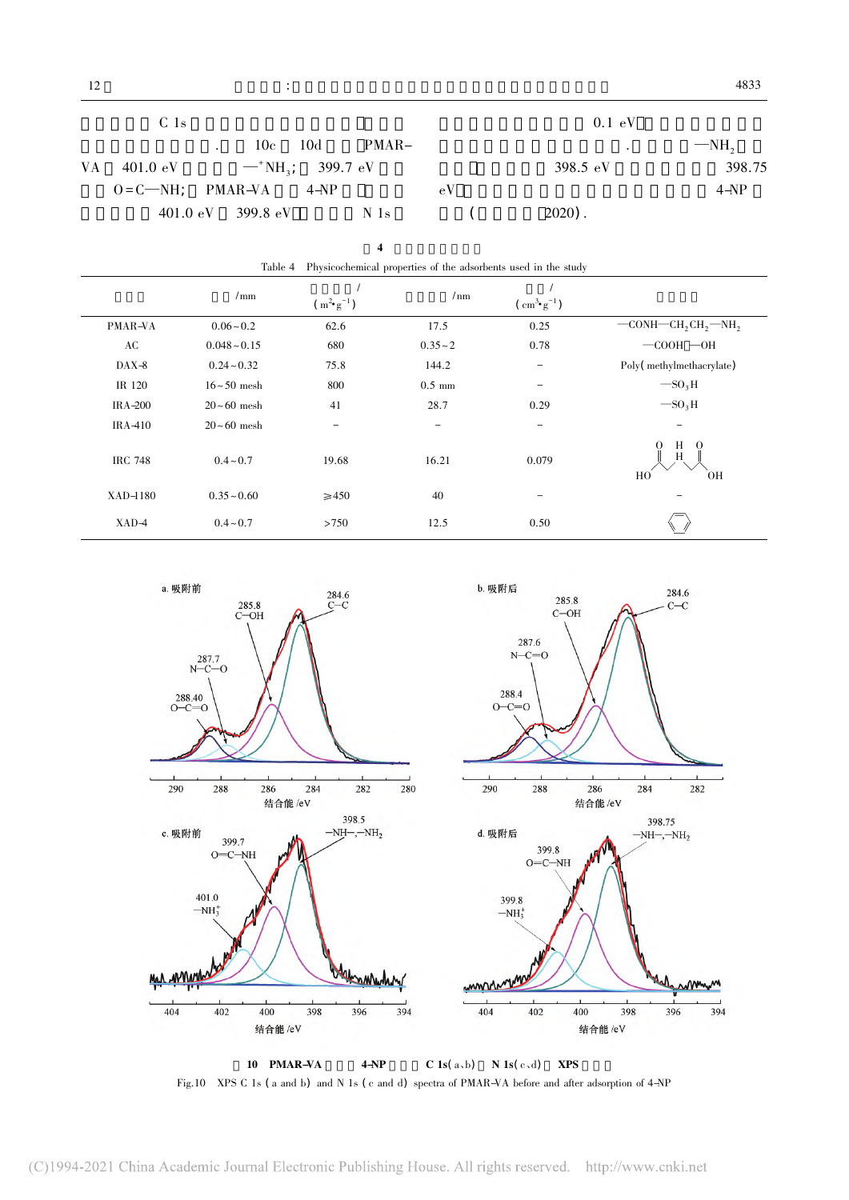|    | C <sub>1s</sub>                         |        |    | 0.1 eV     |        |
|----|-----------------------------------------|--------|----|------------|--------|
|    | $10c$ $10d$                             | PMAR-  |    | $\bullet$  | $-MH$  |
| VA | 401.0 eV $-$ NH <sub>3</sub> ; 399.7 eV |        |    | 398.5 $eV$ | 398.75 |
|    | $O = C$ $\rightarrow$ NH; PMAR-VA       | $4-NP$ | eV |            | $4-NP$ |
|    | $401.0 \text{ eV}$ 399.8 eV N 1s        |        |    | $2020$ ).  |        |

4 吸附剂的理化性质

| Physicochemical properties of the adsorbents used in the study<br>Table 4 |                   |                        |                  |                                                   |                                                                  |
|---------------------------------------------------------------------------|-------------------|------------------------|------------------|---------------------------------------------------|------------------------------------------------------------------|
|                                                                           | $/\text{mm}$      | $(m^{2} \cdot g^{-1})$ | /nm              | $\left(\text{ cm}^{3} \cdot \text{g}^{-1}\right)$ |                                                                  |
| PMAR-VA                                                                   | $0.06 - 0.2$      | 62.6                   | 17.5             | 0.25                                              | $-$ CONH $-$ CH <sub>2</sub> CH <sub>2</sub> $-$ NH <sub>2</sub> |
| AC                                                                        | $0.048 - 0.15$    | 680                    | $0.35 - 2$       | 0.78                                              | $-$ COOH $-$ OH                                                  |
| $\text{DAX-8}$                                                            | $0.24 - 0.32$     | 75.8                   | 144.2            | -                                                 | Poly(methylmethacrylate)                                         |
| IR 120                                                                    | $16 \sim 50$ mesh | 800                    | $0.5 \text{ mm}$ |                                                   | $-SO3H$                                                          |
| IRA-200                                                                   | $20 - 60$ mesh    | 41                     | 28.7             | 0.29                                              | $-SO3H$                                                          |
| IRA-410                                                                   | $20 \sim 60$ mesh |                        |                  | -                                                 | -                                                                |
| <b>IRC 748</b>                                                            | $0.4 - 0.7$       | 19.68                  | 16.21            | 0.079                                             | H<br>$\theta$<br>0<br>H<br>HO<br>0H                              |
| $XAD-1180$                                                                | $0.35 - 0.60$     | $\geq 450$             | 40               |                                                   |                                                                  |
| $XAD-4$                                                                   | $0.4 - 0.7$       | >750                   | 12.5             | 0.50                                              |                                                                  |



10 PMAR-VA  $4-NP$  C 1s( a,b) N 1s( c,d) XPS Fig.10 XPS C 1s ( a and b) and N 1s ( c and d) spectra of PMAR-VA before and after adsorption of 4-NP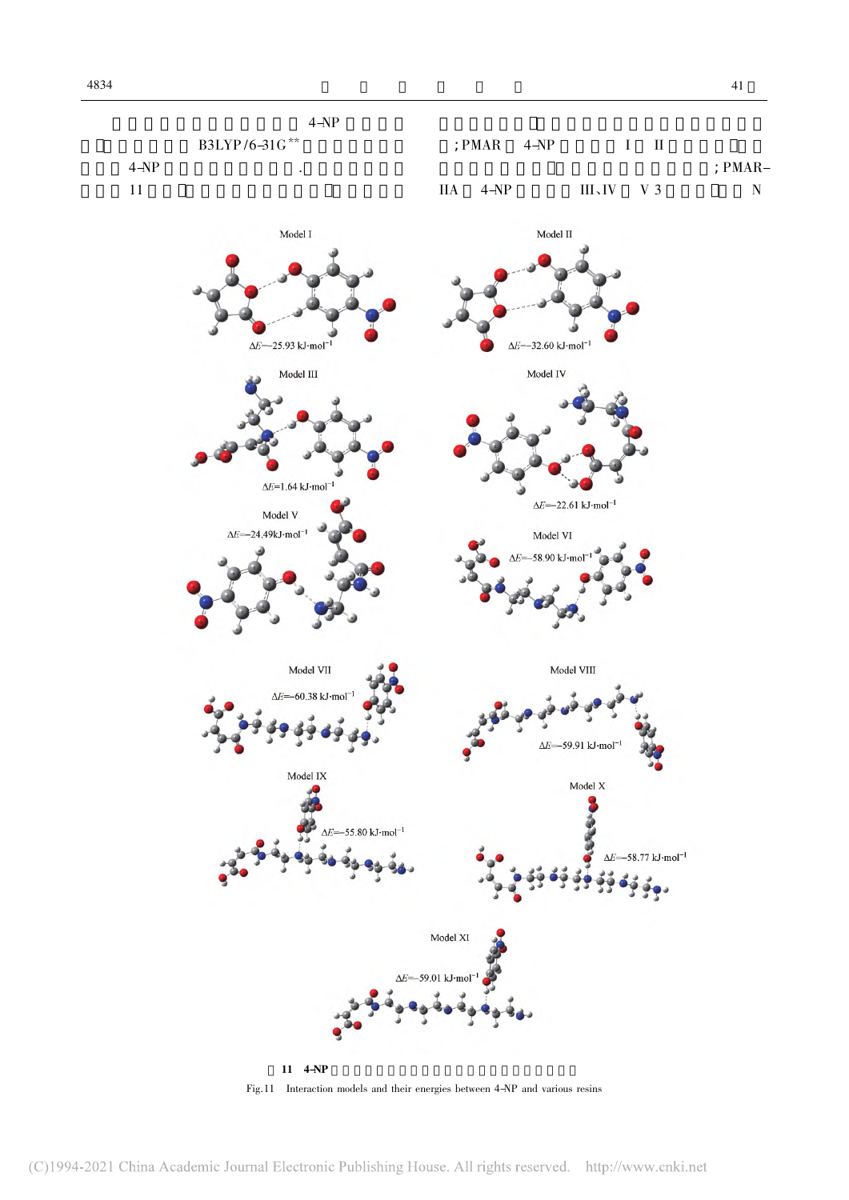

Fig.11 Interaction models and their energies between 4-NP and various resins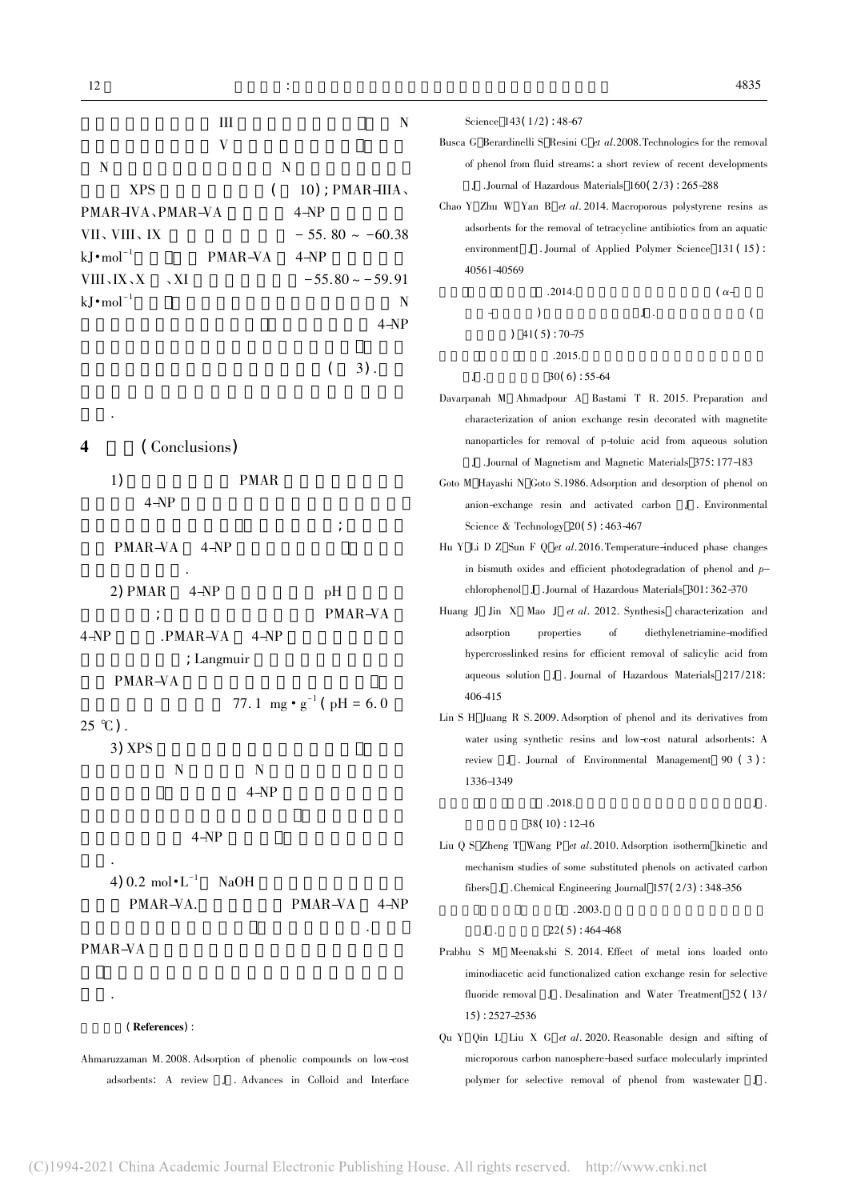| Ш<br>$\mathbf N$                                                                                                                                                                                                                                                                                   | Science $143(1/2)$ : 48-67                                                                                                                                                                                                                                                                                                                                                                                                                                                                               |
|----------------------------------------------------------------------------------------------------------------------------------------------------------------------------------------------------------------------------------------------------------------------------------------------------|----------------------------------------------------------------------------------------------------------------------------------------------------------------------------------------------------------------------------------------------------------------------------------------------------------------------------------------------------------------------------------------------------------------------------------------------------------------------------------------------------------|
| V<br>$\mathbf N$<br>$\mathbf N$<br><b>XPS</b><br>$10$ ); PMAR $-HIA$ ,<br>(<br>PMAR-VA、PMAR-VA<br>$4 - NP$<br>$-55.80 \sim -60.38$<br>VII、VIII、IX<br>$kJ \cdot mol^{-1}$<br>PMAR-VA<br>$4 - NP$<br>$-55.80 - 59.91$<br><b>VIII</b> 、IX、X<br>$\overline{X}$<br>$kJ \cdot mol^{-1}$<br>N<br>$4 - NP$ | Busca G Berardinelli S Resini C et al. 2008. Technologies for the removal<br>of phenol from fluid streams, a short review of recent developments<br>J. Journal of Hazardous Materials 160(2/3): 265-288<br>Chao Y Zhu W Yan B et al. 2014. Macroporous polystyrene resins as<br>adsorbents for the removal of tetracycline antibiotics from an aquatic<br>environment J . Journal of Applied Polymer Science 131 (15):<br>40561-40569<br>.2014.<br>$(\alpha-$<br>${\bf J}$ .<br>$41(5): 70-75$<br>.2015. |
| $3)$ .                                                                                                                                                                                                                                                                                             | $\bf J$ .<br>$30(6): 55-64$<br>Davarpanah M Ahmadpour A Bastami T R. 2015. Preparation and<br>characterization of anion exchange resin decorated with magnetite                                                                                                                                                                                                                                                                                                                                          |
| (Conclusions)<br>4                                                                                                                                                                                                                                                                                 | nanoparticles for removal of p-toluic acid from aqueous solution<br>J. Journal of Magnetism and Magnetic Materials 375: 177–183                                                                                                                                                                                                                                                                                                                                                                          |
| <b>PMAR</b><br>1)<br>$4 - NP$                                                                                                                                                                                                                                                                      | Goto M Hayashi N Goto S.1986. Adsorption and desorption of phenol on<br>anion-exchange resin and activated carbon J. Environmental<br>Science & Technology $20(5)$ : 463-467                                                                                                                                                                                                                                                                                                                             |
| PMAR-VA<br>$4-NP$                                                                                                                                                                                                                                                                                  | Hu Y Li D Z Sun F Q et al. 2016. Temperature-induced phase changes<br>in bismuth oxides and efficient photodegradation of phenol and $p-$                                                                                                                                                                                                                                                                                                                                                                |
| 2) PMAR<br>$4 - NP$<br>pH<br>PMAR-VA                                                                                                                                                                                                                                                               | chlorophenol J .Journal of Hazardous Materials 301: 362-370<br>Huang J Jin X Mao J et al. 2012. Synthesis characterization and                                                                                                                                                                                                                                                                                                                                                                           |
| $4 - NP$<br>.PMAR-VA<br>$4 - NP$<br>; Langmuir<br>PMAR-VA                                                                                                                                                                                                                                          | adsorption<br>properties<br>οf<br>diethylenetriamine-modified<br>hypercrosslinked resins for efficient removal of salicylic acid from<br>aqueous solution J . Journal of Hazardous Materials 217/218:                                                                                                                                                                                                                                                                                                    |
| 77. 1 mg $\cdot$ g <sup>-1</sup> (pH = 6.0)<br>$25 \text{ }^{\circ}C$ ).<br>3) XPS<br>N<br>N                                                                                                                                                                                                       | 406-415<br>Lin S H Juang R S. 2009. Adsorption of phenol and its derivatives from<br>water using synthetic resins and low-cost natural adsorbents. A<br>J. Journal of Environmental Management 90 (3):<br>review<br>1336-1349                                                                                                                                                                                                                                                                            |
| $4 - NP$                                                                                                                                                                                                                                                                                           | .2018.<br>J.<br>$38(10): 12-16$                                                                                                                                                                                                                                                                                                                                                                                                                                                                          |
| $4 - NP$<br>4) 0.2 mol $\cdot L^{-1}$<br><b>NaOH</b><br>PMAR-VA.<br>PMAR-VA<br>4-NP                                                                                                                                                                                                                | Liu Q S Zheng T Wang P et al. 2010. Adsorption isotherm kinetic and<br>mechanism studies of some substituted phenols on activated carbon<br>fibers J. Chemical Engineering Journal $157(2/3)$ : 348–356<br>.2003.<br>$22(5)$ : 464-468<br>J.                                                                                                                                                                                                                                                             |

## PMAR-VA

依据.

#### (References):

Ahmaruzzaman M. 2008. Adsorption of phenolic compounds on low-cost adsorbents: A review J . Advances in Colloid and Interface Prabhu S M Meenakshi S. 2014. Effect of metal ions loaded onto

- iminodiacetic acid functionalized cation exchange resin for selective fluoride removal J . Desalination and Water Treatment 52 (13/ 15) : 2527-2536
- Qu Y Qin L Liu X G et al. 2020. Reasonable design and sifting of microporous carbon nanosphere-based surface molecularly imprinted polymer for selective removal of phenol from wastewater J .